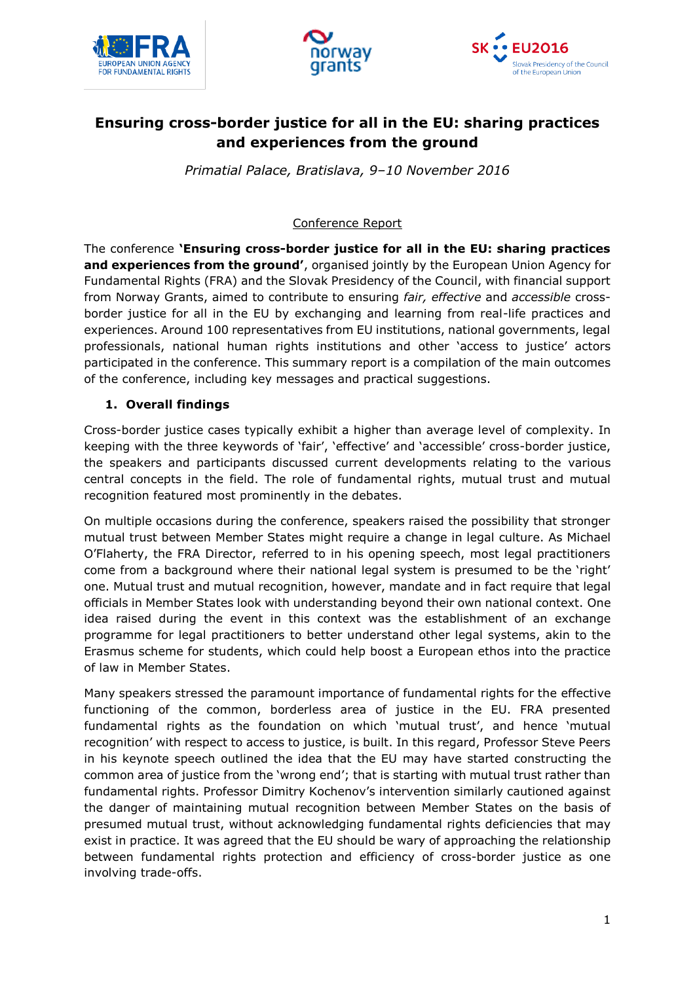





# **Ensuring cross-border justice for all in the EU: sharing practices and experiences from the ground**

*Primatial Palace, Bratislava, 9–10 November 2016*

Conference Report

The conference **'Ensuring cross-border justice for all in the EU: sharing practices and experiences from the ground'**, organised jointly by the European Union Agency for Fundamental Rights (FRA) and the Slovak Presidency of the Council, with financial support from Norway Grants, aimed to contribute to ensuring *fair, effective* and *accessible* crossborder justice for all in the EU by exchanging and learning from real-life practices and experiences. Around 100 representatives from EU institutions, national governments, legal professionals, national human rights institutions and other 'access to justice' actors participated in the conference. This summary report is a compilation of the main outcomes of the conference, including key messages and practical suggestions.

## **1. Overall findings**

Cross-border justice cases typically exhibit a higher than average level of complexity. In keeping with the three keywords of 'fair', 'effective' and 'accessible' cross-border justice, the speakers and participants discussed current developments relating to the various central concepts in the field. The role of fundamental rights, mutual trust and mutual recognition featured most prominently in the debates.

On multiple occasions during the conference, speakers raised the possibility that stronger mutual trust between Member States might require a change in legal culture. As Michael O'Flaherty, the FRA Director, referred to in his opening speech, most legal practitioners come from a background where their national legal system is presumed to be the 'right' one. Mutual trust and mutual recognition, however, mandate and in fact require that legal officials in Member States look with understanding beyond their own national context. One idea raised during the event in this context was the establishment of an exchange programme for legal practitioners to better understand other legal systems, akin to the Erasmus scheme for students, which could help boost a European ethos into the practice of law in Member States.

Many speakers stressed the paramount importance of fundamental rights for the effective functioning of the common, borderless area of justice in the EU. FRA presented fundamental rights as the foundation on which 'mutual trust', and hence 'mutual recognition' with respect to access to justice, is built. In this regard, Professor Steve Peers in his keynote speech outlined the idea that the EU may have started constructing the common area of justice from the 'wrong end'; that is starting with mutual trust rather than fundamental rights. Professor Dimitry Kochenov's intervention similarly cautioned against the danger of maintaining mutual recognition between Member States on the basis of presumed mutual trust, without acknowledging fundamental rights deficiencies that may exist in practice. It was agreed that the EU should be wary of approaching the relationship between fundamental rights protection and efficiency of cross-border justice as one involving trade-offs.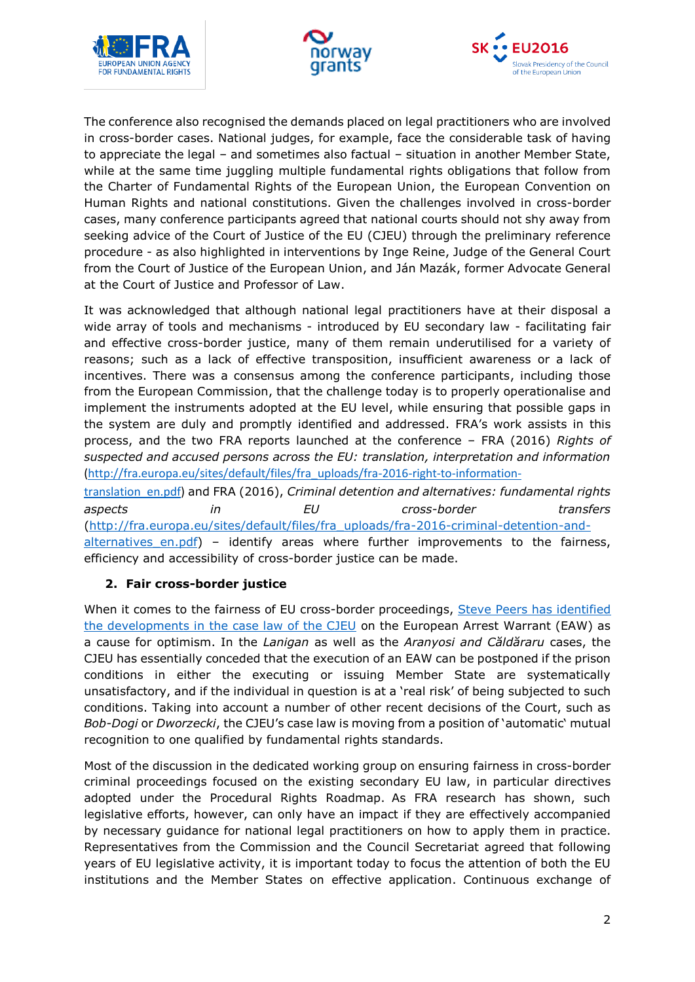





The conference also recognised the demands placed on legal practitioners who are involved in cross-border cases. National judges, for example, face the considerable task of having to appreciate the legal – and sometimes also factual – situation in another Member State, while at the same time juggling multiple fundamental rights obligations that follow from the Charter of Fundamental Rights of the European Union, the European Convention on Human Rights and national constitutions. Given the challenges involved in cross-border cases, many conference participants agreed that national courts should not shy away from seeking advice of the Court of Justice of the EU (CJEU) through the preliminary reference procedure - as also highlighted in interventions by Inge Reine, Judge of the General Court from the Court of Justice of the European Union, and Ján Mazák, former Advocate General at the Court of Justice and Professor of Law.

It was acknowledged that although national legal practitioners have at their disposal a wide array of tools and mechanisms - introduced by EU secondary law - facilitating fair and effective cross-border justice, many of them remain underutilised for a variety of reasons; such as a lack of effective transposition, insufficient awareness or a lack of incentives. There was a consensus among the conference participants, including those from the European Commission, that the challenge today is to properly operationalise and implement the instruments adopted at the EU level, while ensuring that possible gaps in the system are duly and promptly identified and addressed. FRA's work assists in this process, and the two FRA reports launched at the conference – FRA (2016) *Rights of suspected and accused persons across the EU: translation, interpretation and information* [\(http://fra.europa.eu/sites/default/files/fra\\_uploads/fra-2016-right-to-information-](http://fra.europa.eu/sites/default/files/fra_uploads/fra-2016-right-to-information-translation_en.pdf)

[translation\\_en.pdf\)](http://fra.europa.eu/sites/default/files/fra_uploads/fra-2016-right-to-information-translation_en.pdf) and FRA (2016), *Criminal detention and alternatives: fundamental rights aspects in EU cross-border transfers* [\(http://fra.europa.eu/sites/default/files/fra\\_uploads/fra-2016-criminal-detention-and-](http://fra.europa.eu/sites/default/files/fra_uploads/fra-2016-criminal-detention-and-alternatives_en.pdf) $\frac{1}{1}$  alternatives en.pdf) – identify areas where further improvements to the fairness, efficiency and accessibility of cross-border justice can be made.

### **2. Fair cross-border justice**

When it comes to the fairness of EU cross-border proceedings, Steve Peers has identified [the developments in the case law of the CJEU](http://eulawanalysis.blogspot.co.at/2016/11/human-rights-and-european-arrest.html) on the European Arrest Warrant (EAW) as a cause for optimism. In the *Lanigan* as well as the *Aranyosi and Căldăraru* cases, the CJEU has essentially conceded that the execution of an EAW can be postponed if the prison conditions in either the executing or issuing Member State are systematically unsatisfactory, and if the individual in question is at a 'real risk' of being subjected to such conditions. Taking into account a number of other recent decisions of the Court, such as *Bob-Dogi* or *Dworzecki*, the CJEU's case law is moving from a position of 'automatic' mutual recognition to one qualified by fundamental rights standards.

Most of the discussion in the dedicated working group on ensuring fairness in cross-border criminal proceedings focused on the existing secondary EU law, in particular directives adopted under the Procedural Rights Roadmap. As FRA research has shown, such legislative efforts, however, can only have an impact if they are effectively accompanied by necessary guidance for national legal practitioners on how to apply them in practice. Representatives from the Commission and the Council Secretariat agreed that following years of EU legislative activity, it is important today to focus the attention of both the EU institutions and the Member States on effective application. Continuous exchange of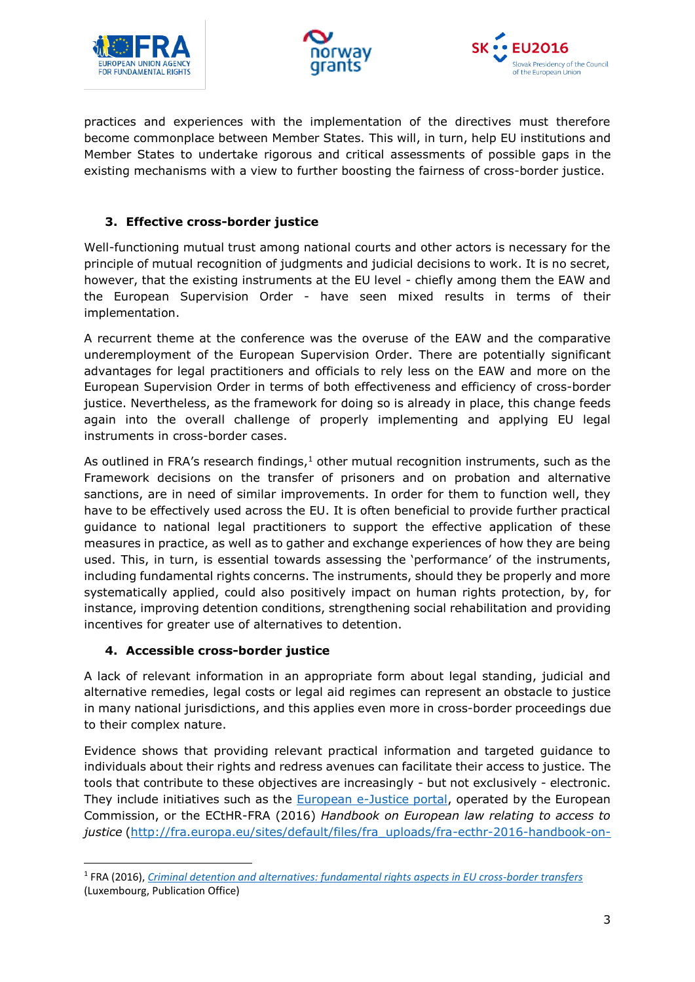





practices and experiences with the implementation of the directives must therefore become commonplace between Member States. This will, in turn, help EU institutions and Member States to undertake rigorous and critical assessments of possible gaps in the existing mechanisms with a view to further boosting the fairness of cross-border justice.

# **3. Effective cross-border justice**

Well-functioning mutual trust among national courts and other actors is necessary for the principle of mutual recognition of judgments and judicial decisions to work. It is no secret, however, that the existing instruments at the EU level - chiefly among them the EAW and the European Supervision Order - have seen mixed results in terms of their implementation.

A recurrent theme at the conference was the overuse of the EAW and the comparative underemployment of the European Supervision Order. There are potentially significant advantages for legal practitioners and officials to rely less on the EAW and more on the European Supervision Order in terms of both effectiveness and efficiency of cross-border justice. Nevertheless, as the framework for doing so is already in place, this change feeds again into the overall challenge of properly implementing and applying EU legal instruments in cross-border cases.

As outlined in FRA's research findings, $1$  other mutual recognition instruments, such as the Framework decisions on the transfer of prisoners and on probation and alternative sanctions, are in need of similar improvements. In order for them to function well, they have to be effectively used across the EU. It is often beneficial to provide further practical guidance to national legal practitioners to support the effective application of these measures in practice, as well as to gather and exchange experiences of how they are being used. This, in turn, is essential towards assessing the 'performance' of the instruments, including fundamental rights concerns. The instruments, should they be properly and more systematically applied, could also positively impact on human rights protection, by, for instance, improving detention conditions, strengthening social rehabilitation and providing incentives for greater use of alternatives to detention.

### **4. Accessible cross-border justice**

**.** 

A lack of relevant information in an appropriate form about legal standing, judicial and alternative remedies, legal costs or legal aid regimes can represent an obstacle to justice in many national jurisdictions, and this applies even more in cross-border proceedings due to their complex nature.

Evidence shows that providing relevant practical information and targeted guidance to individuals about their rights and redress avenues can facilitate their access to justice. The tools that contribute to these objectives are increasingly - but not exclusively - electronic. They include initiatives such as the [European e-Justice portal,](https://e-justice.europa.eu/home.do) operated by the European Commission, or the ECtHR-FRA (2016) *Handbook on European law relating to access to*  justice [\(http://fra.europa.eu/sites/default/files/fra\\_uploads/fra-ecthr-2016-handbook-on-](http://fra.europa.eu/sites/default/files/fra_uploads/fra-ecthr-2016-handbook-on-access-to-justice_en.pdf)

<sup>1</sup> FRA (2016), *[Criminal detention and alternatives: fundamental rights aspects in EU cross-border transfers](http://fra.europa.eu/sites/default/files/fra_uploads/fra-2016-criminal-detention-and-alternatives_en.pdf)* (Luxembourg, Publication Office)